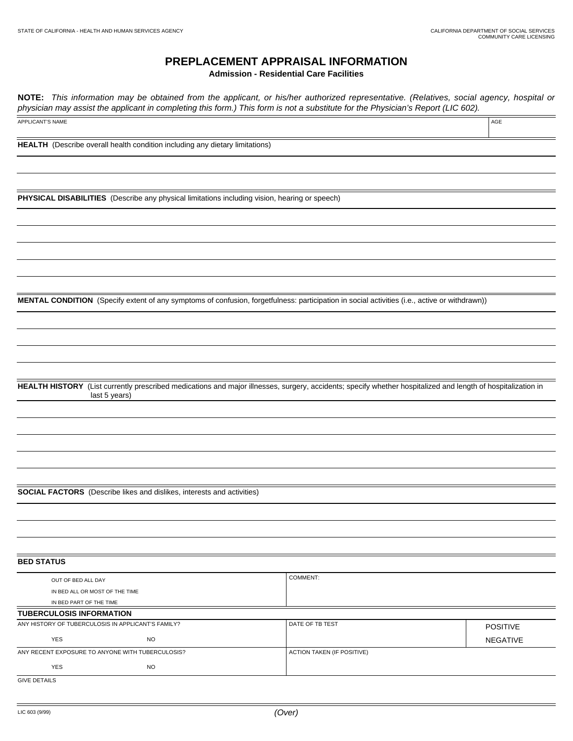## **PREPLACEMENT APPRAISAL INFORMATION**

**Admission - Residential Care Facilities** 

**NOTE:** This information may be obtained from the applicant, or his/her authorized representative. (Relatives, social agency, hospital or physician may assist the applicant in completing this form.) This form is not a substitute for the Physician's Report (LIC 602).

APPLICANT'S NAME AGE

**HEALTH** (Describe overall health condition including any dietary limitations)

**PHYSICAL DISABILITIES** (Describe any physical limitations including vision, hearing or speech)

**MENTAL CONDITION** (Specify extent of any symptoms of confusion, forgetfulness: participation in social activities (i.e., active or withdrawn))

HEALTH HISTORY (List currently prescribed medications and major illnesses, surgery, accidents; specify whether hospitalized and length of hospitalization in last 5 years)

**SOCIAL FACTORS** (Describe likes and dislikes, interests and activities)

**BED STATUS** 

**YES** OUT OF BED ALL DAY<br>
IN BED ALL OR MOST OF THE TIME<br>
IN BED PART OF THE TIME<br>
IN BED PART OF THE TIME<br>
IN BED PART OF THE TIME<br>
IN BED PART OF THE TIME<br>
YES

NO<br>
FORM EVENT EXPOSURE TO ANYONE WITH TUBERCULOSIS?<br>
YES

NO<br>
YE **TUBERCULOSIS INFORMATION**  OUT OF BED ALL DAY **COMMENT:** IN BED ALL OR MOST OF THE TIME IN BED PART OF THE TIME ANY HISTORY OF TUBERCULOSIS IN APPLICANT'S FAMILY? YES NO DATE OF TB TEST POSITIVE NEGATIVE ANY RECENT EXPOSURE TO ANYONE WITH TUBERCULOSIS? YES NO ACTION TAKEN (IF POSITIVE)

**GIVE DETAILS**